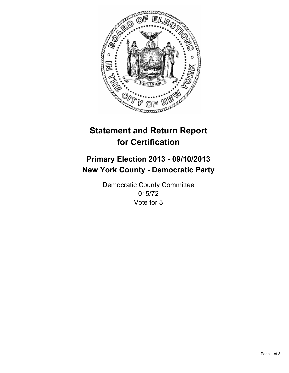

# **Statement and Return Report for Certification**

## **Primary Election 2013 - 09/10/2013 New York County - Democratic Party**

Democratic County Committee 015/72 Vote for 3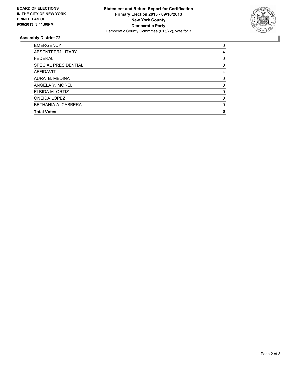

### **Assembly District 72**

| <b>Total Votes</b>   | 0        |
|----------------------|----------|
| BETHANIA A. CABRERA  | 0        |
| <b>ONEIDA LOPEZ</b>  | $\Omega$ |
| ELBIDA M. ORTIZ      | 0        |
| ANGELA Y. MOREL      | 0        |
| AURA B. MEDINA       | 0        |
| <b>AFFIDAVIT</b>     | 4        |
| SPECIAL PRESIDENTIAL | 0        |
| <b>FEDERAL</b>       | 0        |
| ABSENTEE/MILITARY    | 4        |
| <b>EMERGENCY</b>     | 0        |